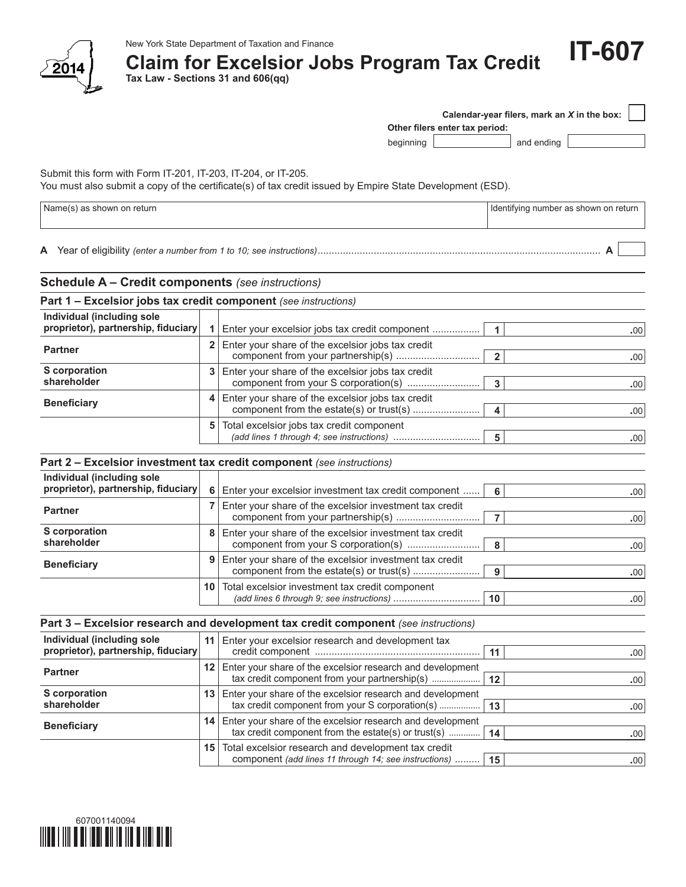

# **Claim for Excelsior Jobs Program Tax Credit**

**Tax Law - Sections 31 and 606(qq)**

| $1 - 22$                                                          |                 |                                                                                                                   |                                             |
|-------------------------------------------------------------------|-----------------|-------------------------------------------------------------------------------------------------------------------|---------------------------------------------|
|                                                                   |                 | Other filers enter tax period:                                                                                    | Calendar-year filers, mark an X in the box: |
|                                                                   |                 | beginning                                                                                                         | and ending                                  |
| Submit this form with Form IT-201, IT-203, IT-204, or IT-205.     |                 | You must also submit a copy of the certificate(s) of tax credit issued by Empire State Development (ESD).         |                                             |
| Name(s) as shown on return                                        |                 |                                                                                                                   | Identifying number as shown on return       |
|                                                                   |                 |                                                                                                                   |                                             |
| <b>Schedule A - Credit components</b> (see instructions)          |                 |                                                                                                                   |                                             |
| Part 1 - Excelsior jobs tax credit component (see instructions)   |                 |                                                                                                                   |                                             |
| Individual (including sole<br>proprietor), partnership, fiduciary |                 | 1   Enter your excelsior jobs tax credit component                                                                | 1<br>.00                                    |
| <b>Partner</b>                                                    | $\overline{2}$  | Enter your share of the excelsior jobs tax credit                                                                 | $\overline{2}$<br>.00                       |
| S corporation<br>shareholder                                      | 3               | Enter your share of the excelsior jobs tax credit<br>component from your S corporation(s)                         | 3<br>.00                                    |
| <b>Beneficiary</b>                                                | 4               | Enter your share of the excelsior jobs tax credit<br>component from the estate(s) or trust(s)                     | 4<br>.00                                    |
|                                                                   | 5               | Total excelsior jobs tax credit component                                                                         | 5<br>.00                                    |
|                                                                   |                 | Part 2 - Excelsior investment tax credit component (see instructions)                                             |                                             |
| Individual (including sole<br>proprietor), partnership, fiduciary |                 | 6 Enter your excelsior investment tax credit component                                                            | 6<br>.00                                    |
| <b>Partner</b>                                                    | $\overline{7}$  | Enter your share of the excelsior investment tax credit                                                           | $\overline{7}$<br>.00                       |
| <b>S</b> corporation<br>shareholder                               | 8               | Enter your share of the excelsior investment tax credit                                                           |                                             |
|                                                                   | 9 <sup>1</sup>  | component from your S corporation(s)<br>Enter your share of the excelsior investment tax credit                   | 8<br>.00                                    |
| <b>Beneficiary</b>                                                |                 |                                                                                                                   | 9<br>.00                                    |
|                                                                   |                 | 10 Total excelsior investment tax credit component                                                                | 10<br>.00                                   |
|                                                                   |                 | Part 3 - Excelsior research and development tax credit component (see instructions)                               |                                             |
| Individual (including sole<br>proprietor), partnership, fiduciary | 11              | Enter your excelsior research and development tax                                                                 | 11<br>.00                                   |
| <b>Partner</b>                                                    | 12 <sub>1</sub> | Enter your share of the excelsior research and development<br>tax credit component from your partnership(s)       | 12<br>.00                                   |
| S corporation<br>shareholder                                      | 13              | Enter your share of the excelsior research and development<br>tax credit component from your S corporation(s)     | 13<br>.00                                   |
| <b>Beneficiary</b>                                                | 14              | Enter your share of the excelsior research and development<br>tax credit component from the estate(s) or trust(s) | 14<br>.00                                   |
|                                                                   | 15              | Total excelsior research and development tax credit<br>component (add lines 11 through 14; see instructions)      | 15<br>.00                                   |

**IT-607**

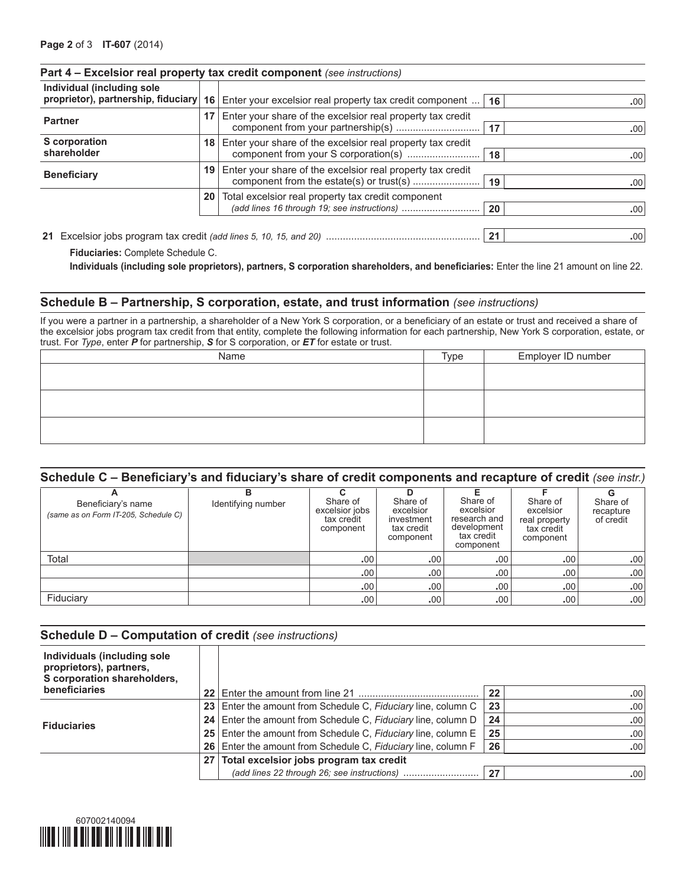| Individual (including sole                                         |                 | proprietor), partnership, fiduciary   16   Enter your excelsior real property tax credit component | 16 | .00              |
|--------------------------------------------------------------------|-----------------|----------------------------------------------------------------------------------------------------|----|------------------|
| <b>Partner</b>                                                     | 17 <sup>1</sup> | Enter your share of the excelsior real property tax credit<br>17                                   |    | .00              |
| S corporation<br>shareholder                                       |                 | 18 Enter your share of the excelsior real property tax credit                                      | 18 | .00 <sub>1</sub> |
| <b>Beneficiary</b>                                                 |                 | Enter your share of the excelsior real property tax credit<br>19 <sup>1</sup>                      | 19 | .00 <sub>1</sub> |
|                                                                    | 20              | Total excelsior real property tax credit component<br>(add lines 16 through 19; see instructions)  | 20 | .00              |
| 21 Excelsion inhs program tax credit (add lines 5, 10, 15, and 20) |                 |                                                                                                    | 21 | nnl              |

## **Part 4 – Excelsior real property tax credit component** *(see instructions)*

**21** Excelsior jobs program tax credit *(add lines 5, 10, 15, and 20)* ....................................................... **21 .**00

 **Fiduciaries:** Complete Schedule C.

 **Individuals (including sole proprietors), partners, S corporation shareholders, and beneficiaries:** Enter the line 21 amount on line 22.

#### **Schedule B – Partnership, S corporation, estate, and trust information** *(see instructions)*

If you were a partner in a partnership, a shareholder of a New York S corporation, or a beneficiary of an estate or trust and received a share of the excelsior jobs program tax credit from that entity, complete the following information for each partnership, New York S corporation, estate, or trust. For *Type*, enter *P* for partnership, *S* for S corporation, or *ET* for estate or trust.

| Name | Type | Employer ID number |
|------|------|--------------------|
|      |      |                    |
|      |      |                    |
|      |      |                    |
|      |      |                    |
|      |      |                    |
|      |      |                    |

## **Schedule C – Beneficiary's and fiduciary's share of credit components and recapture of credit** *(see instr.)*

| -<br>Beneficiary's name<br>(same as on Form IT-205, Schedule C) | в<br>Identifying number | Share of<br>excelsior jobs<br>tax credit<br>component | Share of<br>excelsior<br>investment<br>tax credit<br>component | Share of<br>excelsior<br>research and<br>development<br>tax credit<br>component | Share of<br>excelsior<br>real property<br>tax credit<br>component | Share of<br>recapture<br>of credit |
|-----------------------------------------------------------------|-------------------------|-------------------------------------------------------|----------------------------------------------------------------|---------------------------------------------------------------------------------|-------------------------------------------------------------------|------------------------------------|
| Total                                                           |                         | .00.                                                  | .00.                                                           | .00.                                                                            | .00                                                               | .00 <sub>1</sub>                   |
|                                                                 |                         | .00                                                   | .00                                                            | .00                                                                             | .00 <sup>′</sup>                                                  | .00 <sub>1</sub>                   |
|                                                                 |                         | .00                                                   | .00                                                            | .00.                                                                            | .00                                                               | .00 <sub>1</sub>                   |
| Fiduciary                                                       |                         | .00.                                                  | .00                                                            | .00                                                                             | .00                                                               | .00 <sub>1</sub>                   |

#### **Schedule D – Computation of credit** *(see instructions)*

| Individuals (including sole<br>proprietors), partners,<br>S corporation shareholders, |                 |                                                                 |     |                  |
|---------------------------------------------------------------------------------------|-----------------|-----------------------------------------------------------------|-----|------------------|
| beneficiaries                                                                         |                 |                                                                 | 22  | .00.             |
|                                                                                       |                 | 23   Enter the amount from Schedule C, Fiduciary line, column C | -23 | .00              |
| <b>Fiduciaries</b>                                                                    |                 | 24 Enter the amount from Schedule C, Fiduciary line, column D   | 24  | .00              |
|                                                                                       |                 | 25 Enter the amount from Schedule C, Fiduciary line, column E   | 25  | .00              |
|                                                                                       |                 | 26 Enter the amount from Schedule C, Fiduciary line, column F   | 26  | .00              |
|                                                                                       | 27 <sub>1</sub> | Total excelsior jobs program tax credit                         |     |                  |
|                                                                                       |                 |                                                                 | 27  | .00 <sub>1</sub> |